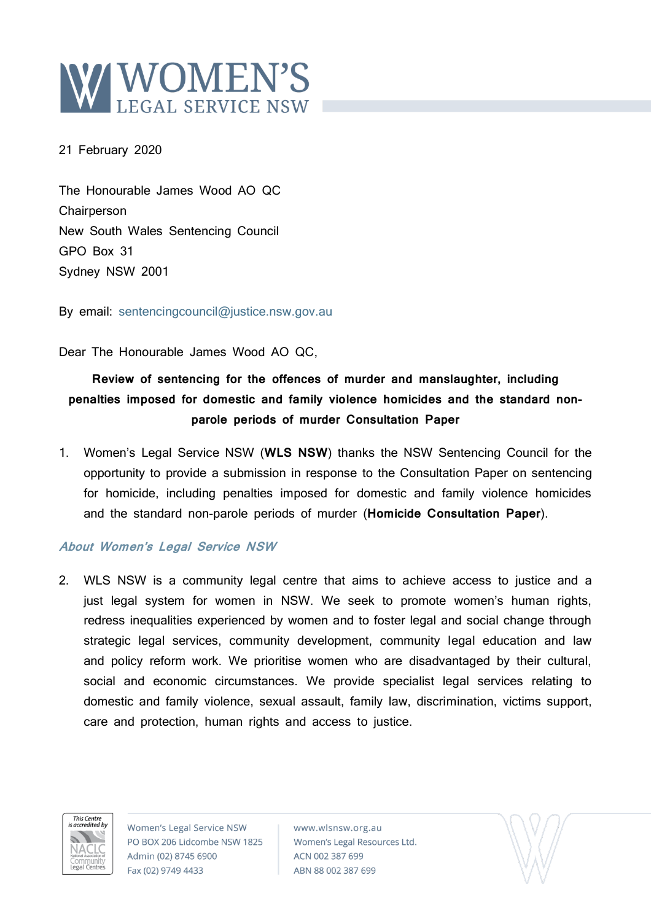

21 February 2020

The Honourable James Wood AO QC **Chairperson** New South Wales Sentencing Council GPO Box 31 Sydney NSW 2001

By email: [sentencingcouncil@justice.nsw.gov.au](mailto:sentencingcouncil@justice.nsw.gov.au)

Dear The Honourable James Wood AO QC,

# **Review of sentencing for the offences of murder and manslaughter, including penalties imposed for domestic and family violence homicides and the standard nonparole periods of murder Consultation Paper**

1. Women's Legal Service NSW (**WLS NSW**) thanks the NSW Sentencing Council for the opportunity to provide a submission in response to the Consultation Paper on sentencing for homicide, including penalties imposed for domestic and family violence homicides and the standard non-parole periods of murder (**Homicide Consultation Paper**).

# **About Women's Legal Service NSW**

2. WLS NSW is a community legal centre that aims to achieve access to justice and a just legal system for women in NSW. We seek to promote women's human rights, redress inequalities experienced by women and to foster legal and social change through strategic legal services, community development, community legal education and law and policy reform work. We prioritise women who are disadvantaged by their cultural, social and economic circumstances. We provide specialist legal services relating to domestic and family violence, sexual assault, family law, discrimination, victims support, care and protection, human rights and access to justice.



Women's Legal Service NSW PO BOX 206 Lidcombe NSW 1825 Admin (02) 8745 6900 Fax (02) 9749 4433

www.wlsnsw.org.au Women's Legal Resources Ltd. ACN 002 387 699 ABN 88 002 387 699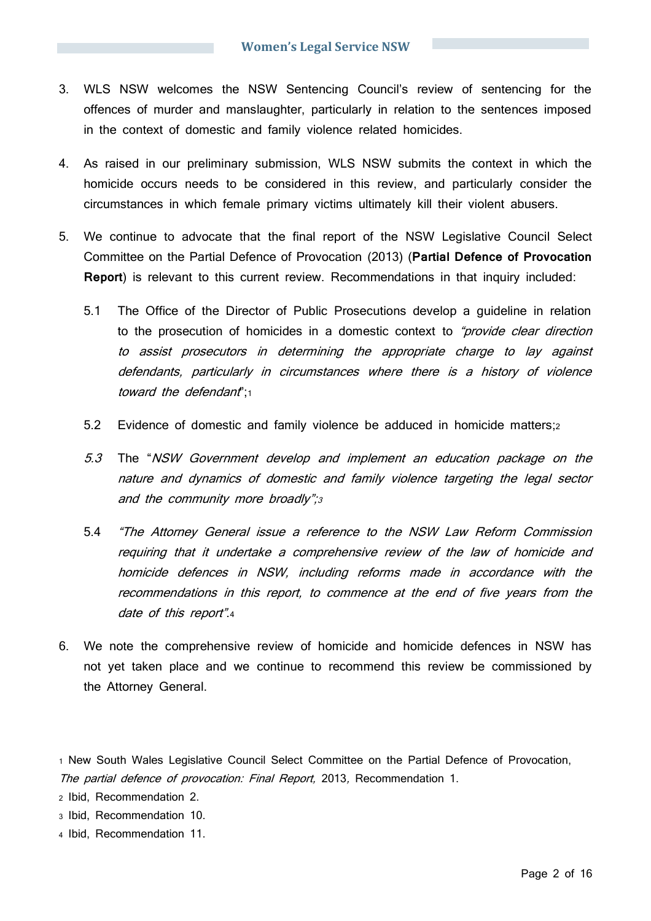- 3. WLS NSW welcomes the NSW Sentencing Council's review of sentencing for the offences of murder and manslaughter, particularly in relation to the sentences imposed in the context of domestic and family violence related homicides.
- 4. As raised in our preliminary submission, WLS NSW submits the context in which the homicide occurs needs to be considered in this review, and particularly consider the circumstances in which female primary victims ultimately kill their violent abusers.
- 5. We continue to advocate that the final report of the NSW Legislative Council Select Committee on the Partial Defence of Provocation (2013) (**Partial Defence of Provocation Report**) is relevant to this current review. Recommendations in that inquiry included:
	- 5.1 The Office of the Director of Public Prosecutions develop a guideline in relation to the prosecution of homicides in a domestic context to "provide clear direction" to assist prosecutors in determining the appropriate charge to lay against defendants, particularly in circumstances where there is a history of violence toward the defendant";1
	- 5.2 Evidence of domestic and family violence be adduced in homicide matters;<sup>2</sup>
	- 5.3 The "NSW Government develop and implement an education package on the nature and dynamics of domestic and family violence targeting the legal sector and the community more broadly";<sup>3</sup>
	- 5.4 "The Attorney General issue a reference to the NSW Law Reform Commission requiring that it undertake a comprehensive review of the law of homicide and homicide defences in NSW, including reforms made in accordance with the recommendations in this report, to commence at the end of five years from the date of this report".4
- 6. We note the comprehensive review of homicide and homicide defences in NSW has not yet taken place and we continue to recommend this review be commissioned by the Attorney General.

<sup>2</sup> Ibid, Recommendation 2.

- <sup>3</sup> Ibid, Recommendation 10.
- <sup>4</sup> Ibid, Recommendation 11.

<sup>1</sup> New South Wales Legislative Council Select Committee on the Partial Defence of Provocation, The partial defence of provocation: Final Report, 2013, Recommendation 1.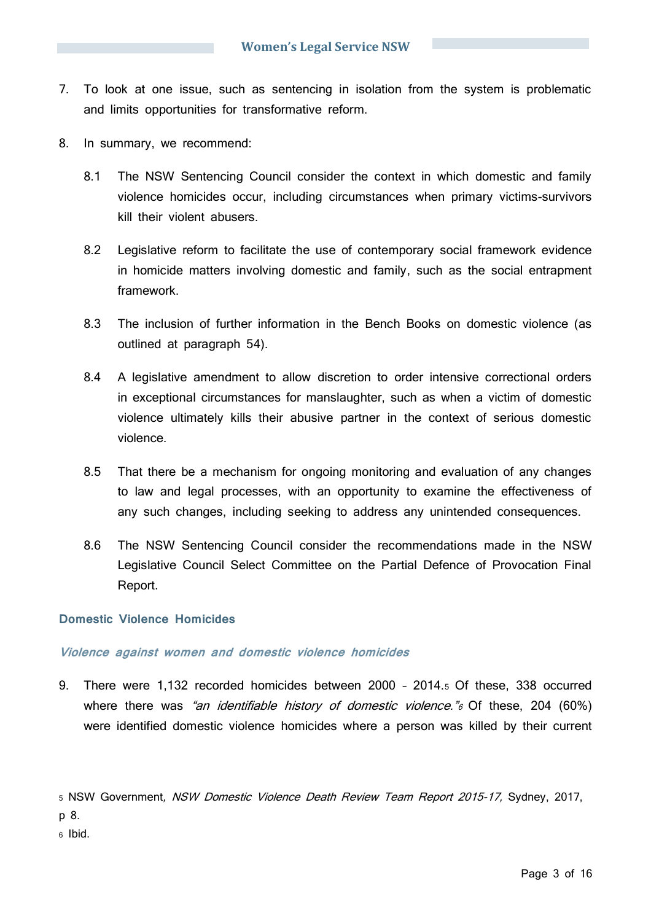- 7. To look at one issue, such as sentencing in isolation from the system is problematic and limits opportunities for transformative reform.
- 8. In summary, we recommend:
	- 8.1 The NSW Sentencing Council consider the context in which domestic and family violence homicides occur, including circumstances when primary victims-survivors kill their violent abusers.
	- 8.2 Legislative reform to facilitate the use of contemporary social framework evidence in homicide matters involving domestic and family, such as the social entrapment framework.
	- 8.3 The inclusion of further information in the Bench Books on domestic violence (as outlined at paragraph 54).
	- 8.4 A legislative amendment to allow discretion to order intensive correctional orders in exceptional circumstances for manslaughter, such as when a victim of domestic violence ultimately kills their abusive partner in the context of serious domestic violence.
	- 8.5 That there be a mechanism for ongoing monitoring and evaluation of any changes to law and legal processes, with an opportunity to examine the effectiveness of any such changes, including seeking to address any unintended consequences.
	- 8.6 The NSW Sentencing Council consider the recommendations made in the NSW Legislative Council Select Committee on the Partial Defence of Provocation Final Report.

# **Domestic Violence Homicides**

# **Violence against women and domestic violence homicides**

9. There were 1,132 recorded homicides between 2000 – 2014.<sup>5</sup> Of these, 338 occurred where there was "an identifiable history of domestic violence." $\epsilon$  Of these, 204 (60%) were identified domestic violence homicides where a person was killed by their current

5 NSW Government, NSW Domestic Violence Death Review Team Report 2015-17, Sydney, 2017, p 8.

<sup>6</sup> Ibid.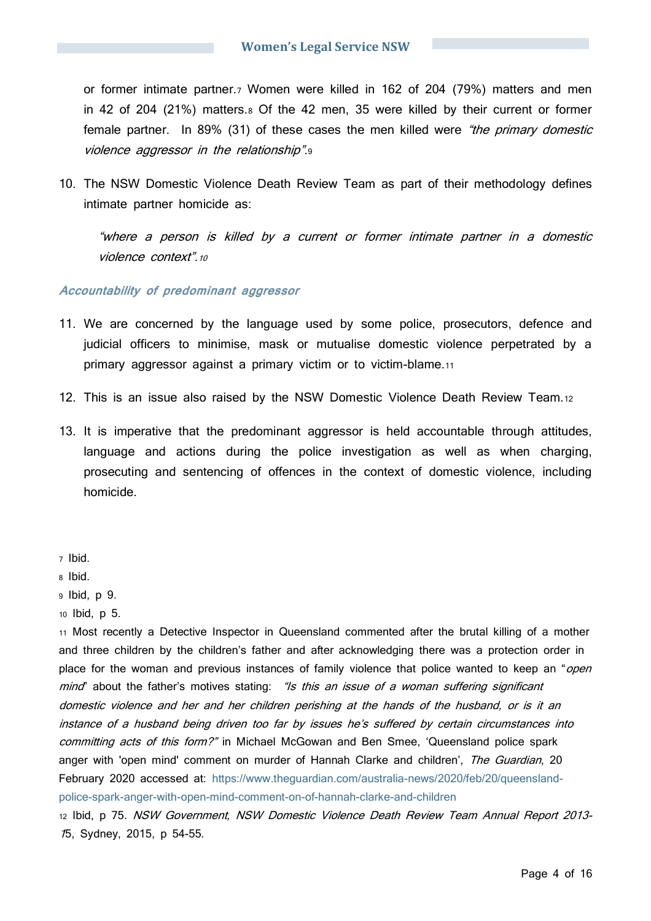or former intimate partner.<sup>7</sup> Women were killed in 162 of 204 (79%) matters and men in 42 of 204 (21%) matters.<sup>8</sup> Of the 42 men, 35 were killed by their current or former female partner. In 89% (31) of these cases the men killed were "the primary domestic violence aggressor in the relationship".

10. The NSW Domestic Violence Death Review Team as part of their methodology defines intimate partner homicide as:

"where a person is killed by a current or former intimate partner in a domestic violence context".<sup>10</sup>

## **Accountability of predominant aggressor**

- 11. We are concerned by the language used by some police, prosecutors, defence and judicial officers to minimise, mask or mutualise domestic violence perpetrated by a primary aggressor against a primary victim or to victim-blame.<sup>11</sup>
- 12. This is an issue also raised by the NSW Domestic Violence Death Review Team.<sup>12</sup>
- 13. It is imperative that the predominant aggressor is held accountable through attitudes, language and actions during the police investigation as well as when charging, prosecuting and sentencing of offences in the context of domestic violence, including homicide.

<sup>11</sup> Most recently a Detective Inspector in Queensland commented after the brutal killing of a mother and three children by the children's father and after acknowledging there was a protection order in place for the woman and previous instances of family violence that police wanted to keep an "*open* mind" about the father's motives stating: "Is this an issue of a woman suffering significant domestic violence and her and her children perishing at the hands of the husband, or is it an instance of a husband being driven too far by issues he's suffered by certain circumstances into committing acts of this form?" in Michael McGowan and Ben Smee, 'Queensland police spark anger with 'open mind' comment on murder of Hannah Clarke and children', The Guardian, 20 February 2020 accessed at: [https://www.theguardian.com/australia-news/2020/feb/20/queensland](https://www.theguardian.com/australia-news/2020/feb/20/queensland-police-spark-anger-with-open-mind-comment-on-of-hannah-clarke-and-children)[police-spark-anger-with-open-mind-comment-on-of-hannah-clarke-and-children](https://www.theguardian.com/australia-news/2020/feb/20/queensland-police-spark-anger-with-open-mind-comment-on-of-hannah-clarke-and-children)

<sup>12</sup> Ibid, p 75. NSW Government, NSW Domestic Violence Death Review Team Annual Report 2013- 15, Sydney, 2015, p 54-55.

<sup>7</sup> Ibid.

<sup>8</sup> Ibid.

<sup>9</sup> Ibid, p 9.

<sup>10</sup> Ibid, p 5.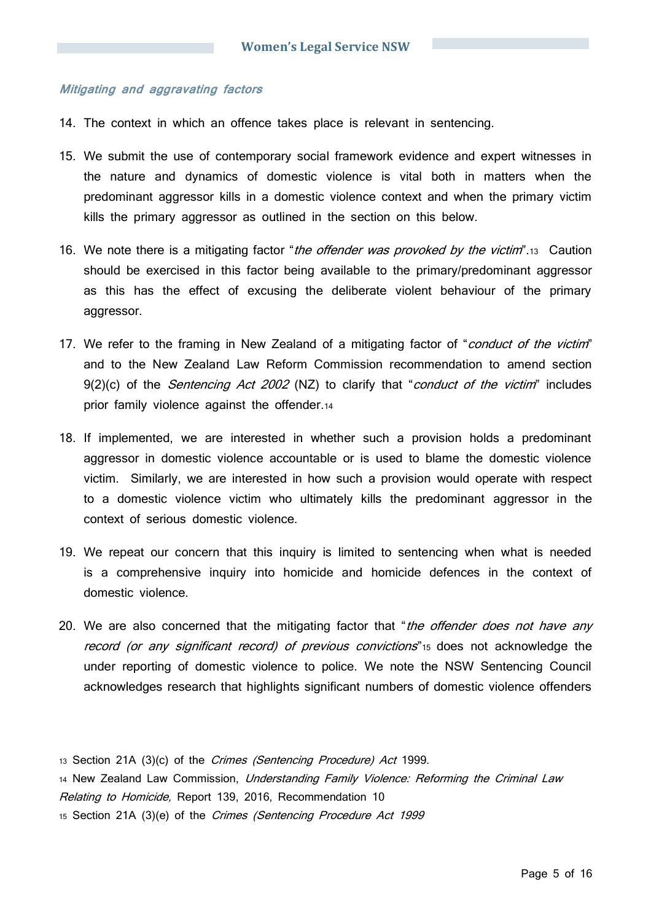## **Mitigating and aggravating factors**

- 14. The context in which an offence takes place is relevant in sentencing.
- 15. We submit the use of contemporary social framework evidence and expert witnesses in the nature and dynamics of domestic violence is vital both in matters when the predominant aggressor kills in a domestic violence context and when the primary victim kills the primary aggressor as outlined in the section on this below.
- 16. We note there is a mitigating factor "the offender was provoked by the victim".13 Caution should be exercised in this factor being available to the primary/predominant aggressor as this has the effect of excusing the deliberate violent behaviour of the primary aggressor.
- 17. We refer to the framing in New Zealand of a mitigating factor of "conduct of the victim" and to the New Zealand Law Reform Commission recommendation to amend section 9(2)(c) of the *Sentencing Act 2002* (NZ) to clarify that "*conduct of the victim*" includes prior family violence against the offender.<sup>14</sup>
- 18. If implemented, we are interested in whether such a provision holds a predominant aggressor in domestic violence accountable or is used to blame the domestic violence victim. Similarly, we are interested in how such a provision would operate with respect to a domestic violence victim who ultimately kills the predominant aggressor in the context of serious domestic violence.
- 19. We repeat our concern that this inquiry is limited to sentencing when what is needed is a comprehensive inquiry into homicide and homicide defences in the context of domestic violence.
- 20. We are also concerned that the mitigating factor that "*the offender does not have any* record (or any significant record) of previous convictions" 15 does not acknowledge the under reporting of domestic violence to police. We note the NSW Sentencing Council acknowledges research that highlights significant numbers of domestic violence offenders

13 Section 21A (3)(c) of the Crimes (Sentencing Procedure) Act 1999. 14 New Zealand Law Commission, Understanding Family Violence: Reforming the Criminal Law Relating to Homicide, Report 139, 2016, Recommendation 10 15 Section 21A (3)(e) of the Crimes (Sentencing Procedure Act 1999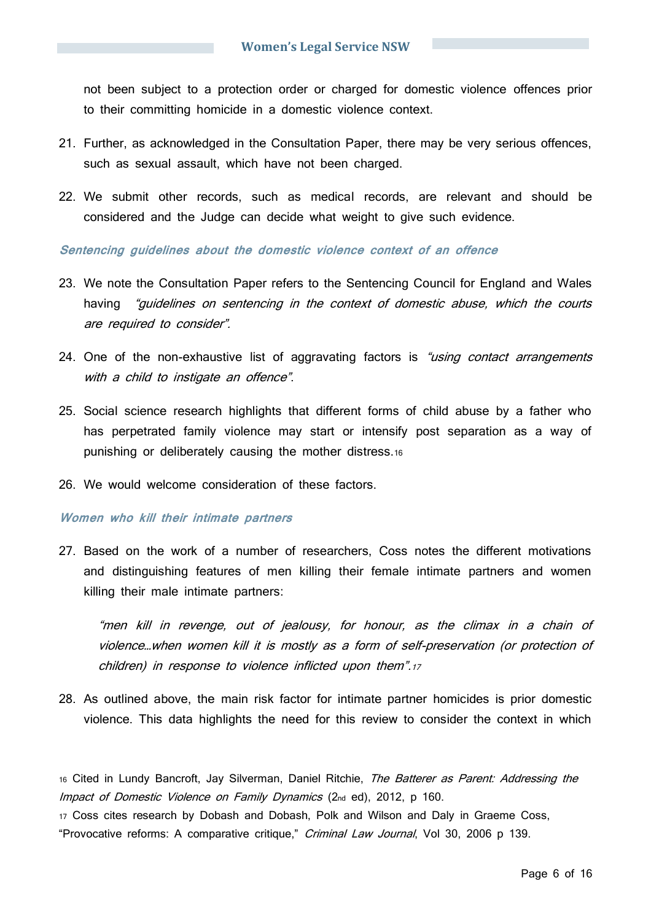not been subject to a protection order or charged for domestic violence offences prior to their committing homicide in a domestic violence context.

- 21. Further, as acknowledged in the Consultation Paper, there may be very serious offences, such as sexual assault, which have not been charged.
- 22. We submit other records, such as medical records, are relevant and should be considered and the Judge can decide what weight to give such evidence.

## **Sentencing guidelines about the domestic violence context of an offence**

- 23. We note the Consultation Paper refers to the Sentencing Council for England and Wales having "guidelines on sentencing in the context of domestic abuse, which the courts are required to consider".
- 24. One of the non-exhaustive list of aggravating factors is "using contact arrangements with a child to instigate an offence".
- 25. Social science research highlights that different forms of child abuse by a father who has perpetrated family violence may start or intensify post separation as a way of punishing or deliberately causing the mother distress.<sup>16</sup>
- 26. We would welcome consideration of these factors.

#### **Women who kill their intimate partners**

27. Based on the work of a number of researchers, Coss notes the different motivations and distinguishing features of men killing their female intimate partners and women killing their male intimate partners:

"men kill in revenge, out of jealousy, for honour, as the climax in a chain of violence…when women kill it is mostly as a form of self-preservation (or protection of children) in response to violence inflicted upon them".<sup>17</sup>

28. As outlined above, the main risk factor for intimate partner homicides is prior domestic violence. This data highlights the need for this review to consider the context in which

16 Cited in Lundy Bancroft, Jay Silverman, Daniel Ritchie, The Batterer as Parent: Addressing the Impact of Domestic Violence on Family Dynamics (2nd ed), 2012, p 160.

<sup>17</sup> Coss cites research by Dobash and Dobash, Polk and Wilson and Daly in Graeme Coss, "Provocative reforms: A comparative critique," Criminal Law Journal, Vol 30, 2006 p 139.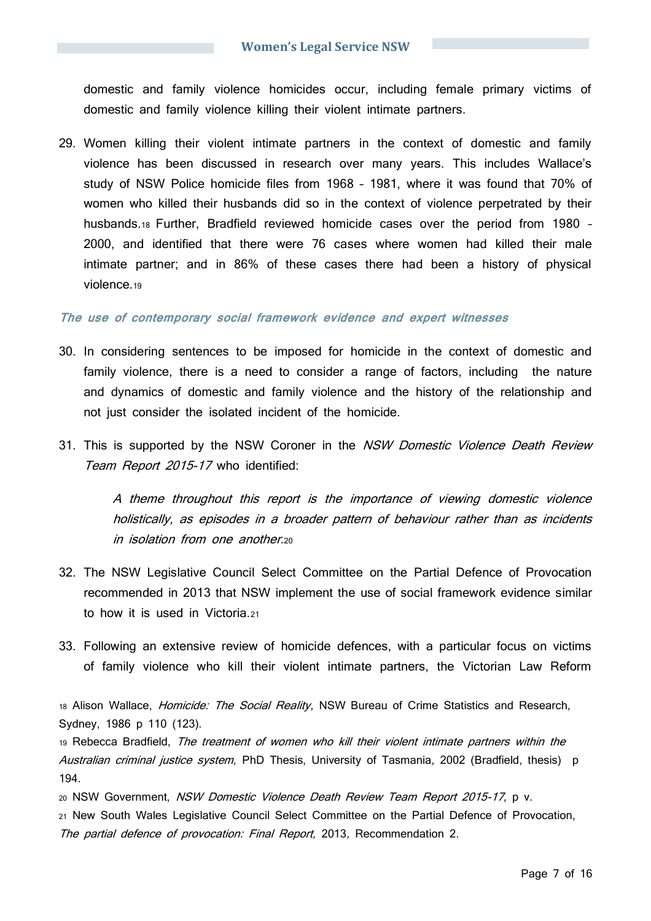domestic and family violence homicides occur, including female primary victims of domestic and family violence killing their violent intimate partners.

29. Women killing their violent intimate partners in the context of domestic and family violence has been discussed in research over many years. This includes Wallace's study of NSW Police homicide files from 1968 – 1981, where it was found that 70% of women who killed their husbands did so in the context of violence perpetrated by their husbands.<sup>18</sup> Further, Bradfield reviewed homicide cases over the period from 1980 – 2000, and identified that there were 76 cases where women had killed their male intimate partner; and in 86% of these cases there had been a history of physical violence.<sup>19</sup>

#### **The use of contemporary social framework evidence and expert witnesses**

- 30. In considering sentences to be imposed for homicide in the context of domestic and family violence, there is a need to consider a range of factors, including the nature and dynamics of domestic and family violence and the history of the relationship and not just consider the isolated incident of the homicide.
- 31. This is supported by the NSW Coroner in the NSW Domestic Violence Death Review Team Report 2015-17 who identified:

A theme throughout this report is the importance of viewing domestic violence holistically, as episodes in a broader pattern of behaviour rather than as incidents in isolation from one another.<sup>20</sup>

- 32. The NSW Legislative Council Select Committee on the Partial Defence of Provocation recommended in 2013 that NSW implement the use of social framework evidence similar to how it is used in Victoria.<sup>21</sup>
- 33. Following an extensive review of homicide defences, with a particular focus on victims of family violence who kill their violent intimate partners, the Victorian Law Reform

18 Alison Wallace, *Homicide: The Social Reality*, NSW Bureau of Crime Statistics and Research, Sydney, 1986 p 110 (123).

19 Rebecca Bradfield, The treatment of women who kill their violent intimate partners within the Australian criminal justice system, PhD Thesis, University of Tasmania, 2002 (Bradfield, thesis) p 194.

<sup>20</sup> NSW Government, NSW Domestic Violence Death Review Team Report 2015-17, p v. <sup>21</sup> New South Wales Legislative Council Select Committee on the Partial Defence of Provocation, The partial defence of provocation: Final Report, 2013, Recommendation 2.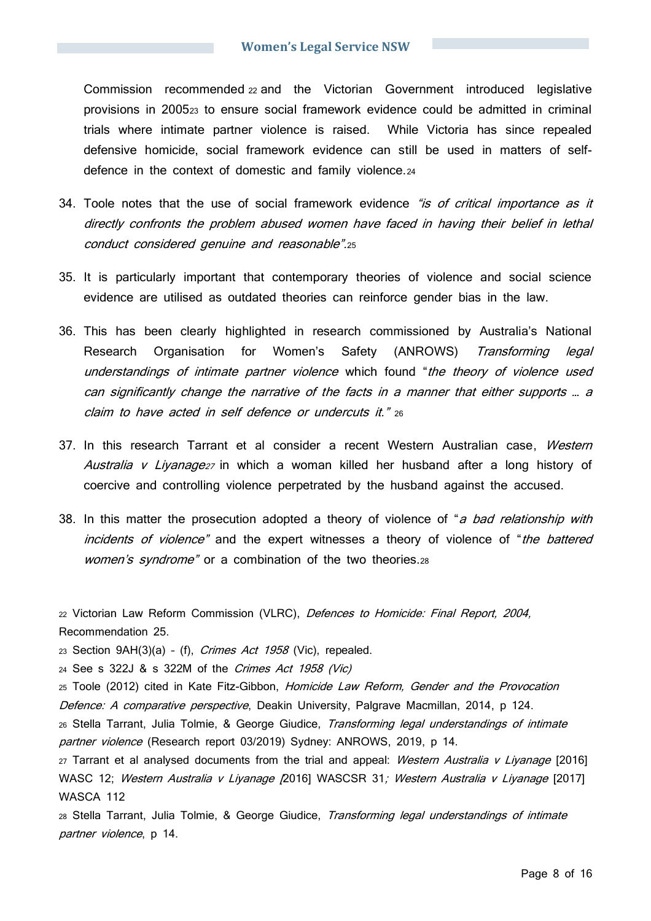Commission recommended <sup>22</sup> and the Victorian Government introduced legislative provisions in 2005<sup>23</sup> to ensure social framework evidence could be admitted in criminal trials where intimate partner violence is raised. While Victoria has since repealed defensive homicide, social framework evidence can still be used in matters of selfdefence in the context of domestic and family violence.<sup>24</sup>

- 34. Toole notes that the use of social framework evidence "is of critical importance as it directly confronts the problem abused women have faced in having their belief in lethal conduct considered genuine and reasonable".<sup>25</sup>
- 35. It is particularly important that contemporary theories of violence and social science evidence are utilised as outdated theories can reinforce gender bias in the law.
- 36. This has been clearly highlighted in research commissioned by Australia's National Research Organisation for Women's Safety (ANROWS) Transforming legal understandings of intimate partner violence which found "the theory of violence used can significantly change the narrative of the facts in a manner that either supports … a claim to have acted in self defence or undercuts it." <sup>26</sup>
- 37. In this research Tarrant et al consider a recent Western Australian case, Western Australia v Liyanage27 in which a woman killed her husband after a long history of coercive and controlling violence perpetrated by the husband against the accused.
- 38. In this matter the prosecution adopted a theory of violence of "a bad relationship with incidents of violence" and the expert witnesses a theory of violence of "the battered women's syndrome" or a combination of the two theories.28

22 Victorian Law Reform Commission (VLRC), Defences to Homicide: Final Report, 2004, Recommendation 25.

23 Section  $9AH(3)(a) - (f)$ , *Crimes Act 1958* (Vic), repealed.

<sup>24</sup> See s 322J & s 322M of the Crimes Act 1958 (Vic)

25 Toole (2012) cited in Kate Fitz-Gibbon, Homicide Law Reform, Gender and the Provocation Defence: A comparative perspective, Deakin University, Palgrave Macmillan, 2014, p 124.

26 Stella Tarrant, Julia Tolmie, & George Giudice, Transforming legal understandings of intimate partner violence (Research report 03/2019) Sydney: ANROWS, 2019, p 14.

27 Tarrant et al analysed documents from the trial and appeal: Western Australia v Livanage [2016] WASC 12; Western Australia v Liyanage [2016] WASCSR 31; Western Australia v Liyanage [2017] WASCA 112

28 Stella Tarrant, Julia Tolmie, & George Giudice, Transforming legal understandings of intimate partner violence, p 14.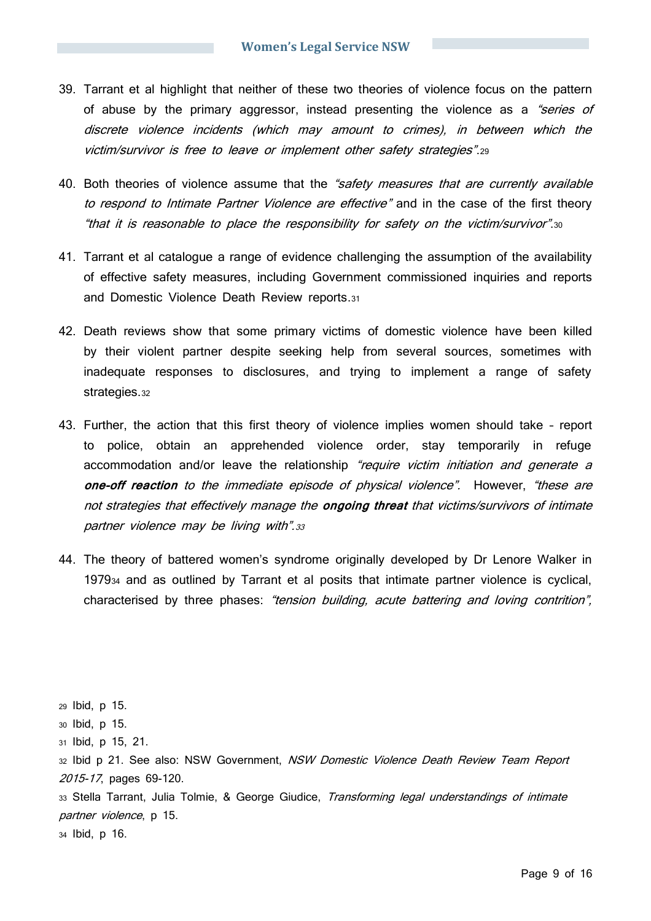- 39. Tarrant et al highlight that neither of these two theories of violence focus on the pattern of abuse by the primary aggressor, instead presenting the violence as a "series of discrete violence incidents (which may amount to crimes), in between which the victim/survivor is free to leave or implement other safety strategies".<sup>29</sup>
- 40. Both theories of violence assume that the "safety measures that are currently available to respond to Intimate Partner Violence are effective" and in the case of the first theory "that it is reasonable to place the responsibility for safety on the victim/survivor".<sup>30</sup>
- 41. Tarrant et al catalogue a range of evidence challenging the assumption of the availability of effective safety measures, including Government commissioned inquiries and reports and Domestic Violence Death Review reports.<sup>31</sup>
- 42. Death reviews show that some primary victims of domestic violence have been killed by their violent partner despite seeking help from several sources, sometimes with inadequate responses to disclosures, and trying to implement a range of safety strategies.<sup>32</sup>
- 43. Further, the action that this first theory of violence implies women should take report to police, obtain an apprehended violence order, stay temporarily in refuge accommodation and/or leave the relationship "require victim initiation and generate a **one-off reaction** to the immediate episode of physical violence". However, "these are not strategies that effectively manage the **ongoing threat** that victims/survivors of intimate partner violence may be living with".33
- 44. The theory of battered women's syndrome originally developed by Dr Lenore Walker in 1979<sup>34</sup> and as outlined by Tarrant et al posits that intimate partner violence is cyclical, characterised by three phases: "tension building, acute battering and loving contrition",

<sup>29</sup> Ibid, p 15. <sup>30</sup> Ibid, p 15. <sup>31</sup> Ibid, p 15, 21. 32 Ibid p 21. See also: NSW Government, NSW Domestic Violence Death Review Team Report 2015-17, pages 69-120. 33 Stella Tarrant, Julia Tolmie, & George Giudice, Transforming legal understandings of intimate partner violence, p 15.

<sup>34</sup> Ibid, p 16.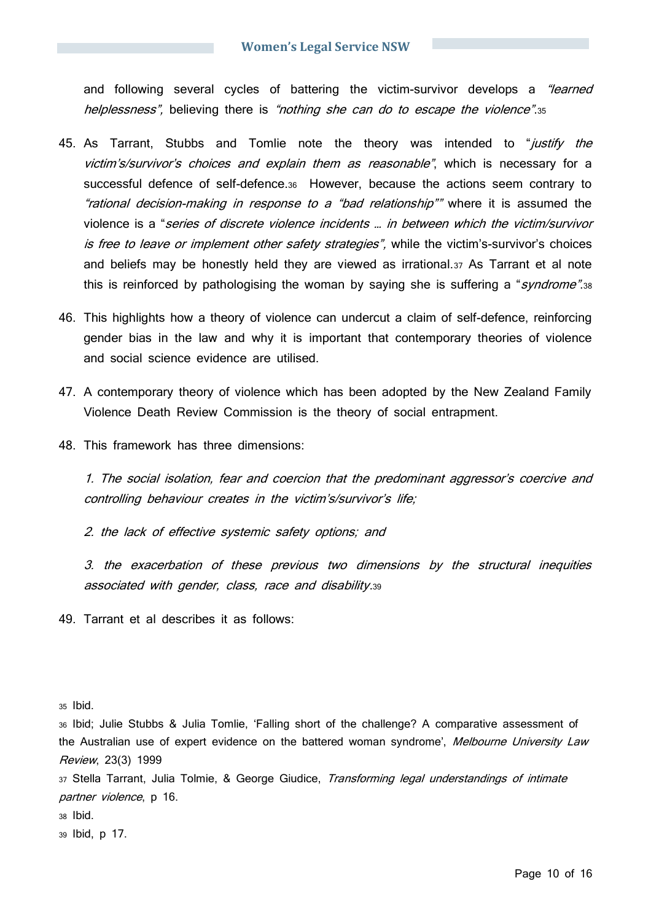and following several cycles of battering the victim-survivor develops a "learned helplessness", believing there is "nothing she can do to escape the violence".35

- 45. As Tarrant, Stubbs and Tomlie note the theory was intended to "*justify the* victim's/survivor's choices and explain them as reasonable", which is necessary for a successful defence of self-defence.36 However, because the actions seem contrary to "rational decision-making in response to a "bad relationship"" where it is assumed the violence is a "series of discrete violence incidents … in between which the victim/survivor is free to leave or implement other safety strategies", while the victim's-survivor's choices and beliefs may be honestly held they are viewed as irrational.<sup>37</sup> As Tarrant et al note this is reinforced by pathologising the woman by saying she is suffering a "*syndrome*".38
- 46. This highlights how a theory of violence can undercut a claim of self-defence, reinforcing gender bias in the law and why it is important that contemporary theories of violence and social science evidence are utilised.
- 47. A contemporary theory of violence which has been adopted by the New Zealand Family Violence Death Review Commission is the theory of social entrapment.
- 48. This framework has three dimensions:

1. The social isolation, fear and coercion that the predominant aggressor's coercive and controlling behaviour creates in the victim's/survivor's life:

2. the lack of effective systemic safety options; and

3. the exacerbation of these previous two dimensions by the structural inequities associated with gender, class, race and disability.<sup>39</sup>

49. Tarrant et al describes it as follows:

<sup>35</sup> Ibid.

<sup>36</sup> Ibid; Julie Stubbs & Julia Tomlie, 'Falling short of the challenge? A comparative assessment of the Australian use of expert evidence on the battered woman syndrome', Melbourne University Law Review, 23(3) 1999

37 Stella Tarrant, Julia Tolmie, & George Giudice, Transforming legal understandings of intimate partner violence, p 16.

<sup>38</sup> Ibid.

<sup>39</sup> Ibid, p 17.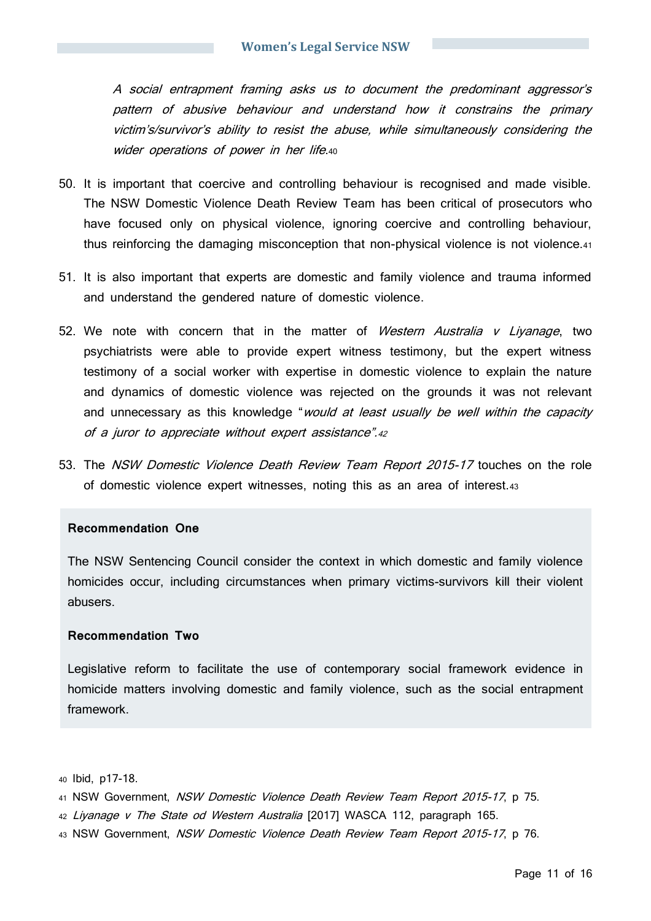A social entrapment framing asks us to document the predominant aggressor's pattern of abusive behaviour and understand how it constrains the primary victim's/survivor's ability to resist the abuse, while simultaneously considering the wider operations of power in her life.40

- 50. It is important that coercive and controlling behaviour is recognised and made visible. The NSW Domestic Violence Death Review Team has been critical of prosecutors who have focused only on physical violence, ignoring coercive and controlling behaviour, thus reinforcing the damaging misconception that non-physical violence is not violence.<sup>41</sup>
- 51. It is also important that experts are domestic and family violence and trauma informed and understand the gendered nature of domestic violence.
- 52. We note with concern that in the matter of Western Australia v Liyanage, two psychiatrists were able to provide expert witness testimony, but the expert witness testimony of a social worker with expertise in domestic violence to explain the nature and dynamics of domestic violence was rejected on the grounds it was not relevant and unnecessary as this knowledge "would at least usually be well within the capacity of a juror to appreciate without expert assistance".<sup>42</sup>
- 53. The NSW Domestic Violence Death Review Team Report 2015-17 touches on the role of domestic violence expert witnesses, noting this as an area of interest.<sup>43</sup>

#### **Recommendation One**

The NSW Sentencing Council consider the context in which domestic and family violence homicides occur, including circumstances when primary victims-survivors kill their violent abusers.

#### **Recommendation Two**

Legislative reform to facilitate the use of contemporary social framework evidence in homicide matters involving domestic and family violence, such as the social entrapment framework.

<sup>40</sup> Ibid, p17-18.

- 41 NSW Government, NSW Domestic Violence Death Review Team Report 2015-17, p 75.
- 42 Liyanage v The State od Western Australia [2017] WASCA 112, paragraph 165.
- 43 NSW Government, NSW Domestic Violence Death Review Team Report 2015-17, p 76.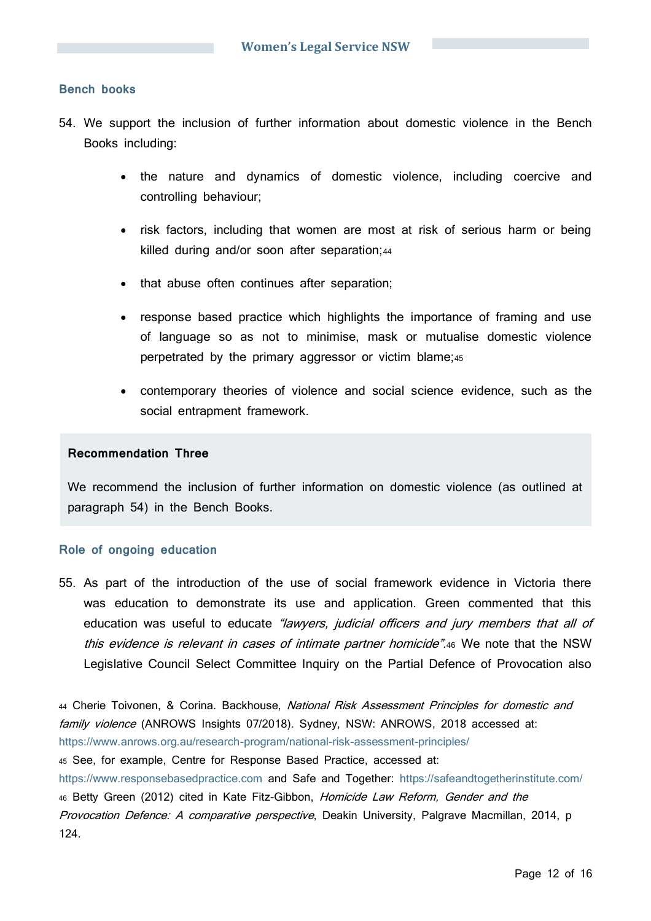# **Bench books**

- 54. We support the inclusion of further information about domestic violence in the Bench Books including:
	- the nature and dynamics of domestic violence, including coercive and controlling behaviour;
	- risk factors, including that women are most at risk of serious harm or being killed during and/or soon after separation;44
	- that abuse often continues after separation;
	- response based practice which highlights the importance of framing and use of language so as not to minimise, mask or mutualise domestic violence perpetrated by the primary aggressor or victim blame;<sup>45</sup>
	- contemporary theories of violence and social science evidence, such as the social entrapment framework.

### **Recommendation Three**

We recommend the inclusion of further information on domestic violence (as outlined at paragraph 54) in the Bench Books.

#### **Role of ongoing education**

55. As part of the introduction of the use of social framework evidence in Victoria there was education to demonstrate its use and application. Green commented that this education was useful to educate "lawyers, judicial officers and jury members that all of this evidence is relevant in cases of intimate partner homicide".46 We note that the NSW Legislative Council Select Committee Inquiry on the Partial Defence of Provocation also

44 Cherie Toivonen, & Corina. Backhouse, National Risk Assessment Principles for domestic and family violence (ANROWS Insights 07/2018). Sydney, NSW: ANROWS, 2018 accessed at: <https://www.anrows.org.au/research-program/national-risk-assessment-principles/> <sup>45</sup> See, for example, Centre for Response Based Practice, accessed at: [https://www.responsebasedpractice.com](https://www.responsebasedpractice.com/) and Safe and Together:<https://safeandtogetherinstitute.com/> 46 Betty Green (2012) cited in Kate Fitz-Gibbon, Homicide Law Reform, Gender and the Provocation Defence: A comparative perspective, Deakin University, Palgrave Macmillan, 2014, p 124.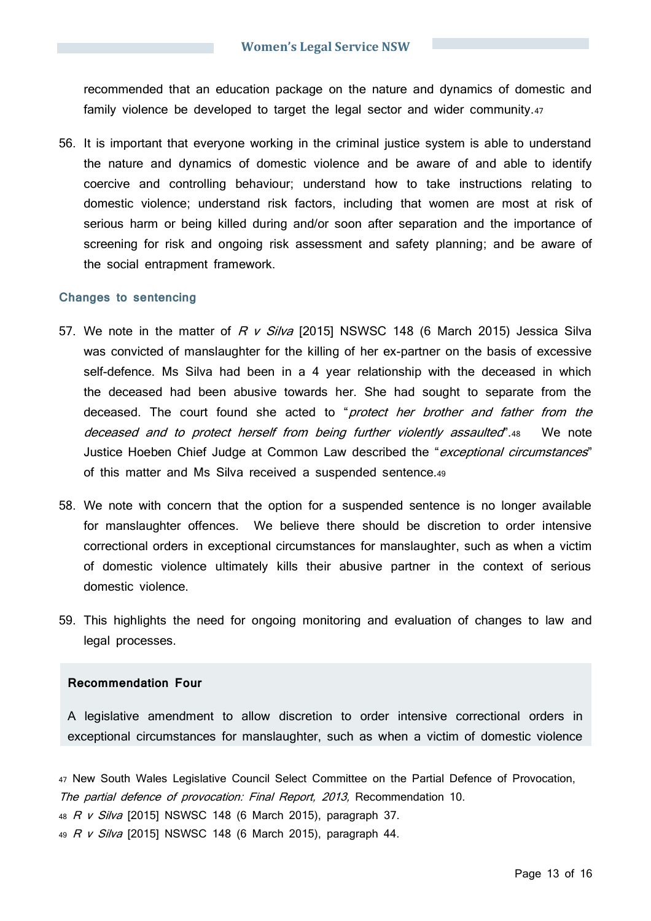recommended that an education package on the nature and dynamics of domestic and family violence be developed to target the legal sector and wider community.<sup>47</sup>

56. It is important that everyone working in the criminal justice system is able to understand the nature and dynamics of domestic violence and be aware of and able to identify coercive and controlling behaviour; understand how to take instructions relating to domestic violence; understand risk factors, including that women are most at risk of serious harm or being killed during and/or soon after separation and the importance of screening for risk and ongoing risk assessment and safety planning; and be aware of the social entrapment framework.

#### **Changes to sentencing**

- 57. We note in the matter of  $R$  v Silva [2015] NSWSC 148 (6 March 2015) Jessica Silva was convicted of manslaughter for the killing of her ex-partner on the basis of excessive self-defence. Ms Silva had been in a 4 year relationship with the deceased in which the deceased had been abusive towards her. She had sought to separate from the deceased. The court found she acted to "protect her brother and father from the deceased and to protect herself from being further violently assaulted".48 We note Justice Hoeben Chief Judge at Common Law described the "exceptional circumstances" of this matter and Ms Silva received a suspended sentence.<sup>49</sup>
- 58. We note with concern that the option for a suspended sentence is no longer available for manslaughter offences. We believe there should be discretion to order intensive correctional orders in exceptional circumstances for manslaughter, such as when a victim of domestic violence ultimately kills their abusive partner in the context of serious domestic violence.
- 59. This highlights the need for ongoing monitoring and evaluation of changes to law and legal processes.

#### **Recommendation Four**

A legislative amendment to allow discretion to order intensive correctional orders in exceptional circumstances for manslaughter, such as when a victim of domestic violence

<sup>47</sup> New South Wales Legislative Council Select Committee on the Partial Defence of Provocation, The partial defence of provocation: Final Report, 2013, Recommendation 10. 48 R v Silva [2015] NSWSC 148 (6 March 2015), paragraph 37. 49 R v Silva [2015] NSWSC 148 (6 March 2015), paragraph 44.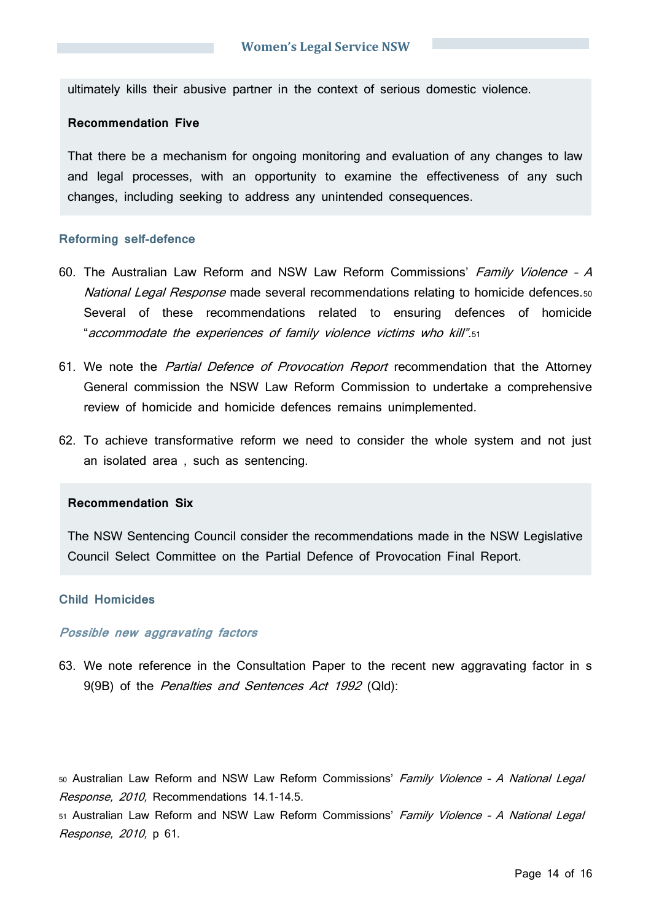ultimately kills their abusive partner in the context of serious domestic violence.

#### **Recommendation Five**

That there be a mechanism for ongoing monitoring and evaluation of any changes to law and legal processes, with an opportunity to examine the effectiveness of any such changes, including seeking to address any unintended consequences.

#### **Reforming self-defence**

- 60. The Australian Law Reform and NSW Law Reform Commissions' Family Violence A National Legal Response made several recommendations relating to homicide defences.50 Several of these recommendations related to ensuring defences of homicide "accommodate the experiences of family violence victims who kill".<sup>51</sup>
- 61. We note the *Partial Defence of Provocation Report* recommendation that the Attorney General commission the NSW Law Reform Commission to undertake a comprehensive review of homicide and homicide defences remains unimplemented.
- 62. To achieve transformative reform we need to consider the whole system and not just an isolated area , such as sentencing.

### **Recommendation Six**

The NSW Sentencing Council consider the recommendations made in the NSW Legislative Council Select Committee on the Partial Defence of Provocation Final Report.

#### **Child Homicides**

#### **Possible new aggravating factors**

63. We note reference in the Consultation Paper to the recent new aggravating factor in s 9(9B) of the Penalties and Sentences Act 1992 (Qld):

50 Australian Law Reform and NSW Law Reform Commissions' Family Violence - A National Legal Response, 2010, Recommendations 14.1-14.5.

51 Australian Law Reform and NSW Law Reform Commissions' Family Violence - A National Legal Response, 2010, p 61.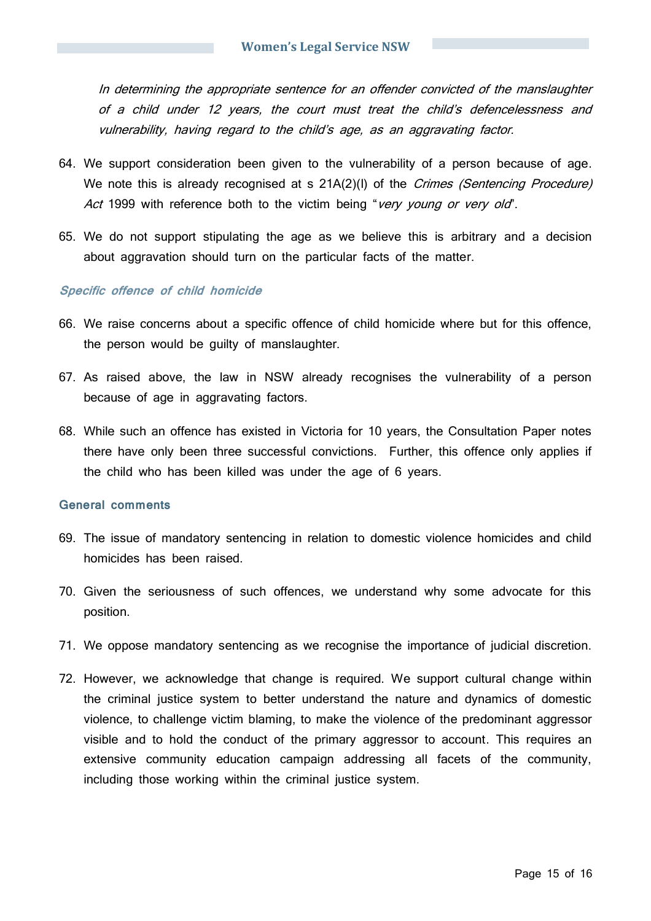In determining the appropriate sentence for an offender convicted of the manslaughter of a child under 12 years, the court must treat the child's defencelessness and vulnerability, having regard to the child's age, as an aggravating factor.

- 64. We support consideration been given to the vulnerability of a person because of age. We note this is already recognised at s  $21A(2)$ (I) of the *Crimes (Sentencing Procedure)* Act 1999 with reference both to the victim being "very young or very old".
- 65. We do not support stipulating the age as we believe this is arbitrary and a decision about aggravation should turn on the particular facts of the matter.

#### **Specific offence of child homicide**

- 66. We raise concerns about a specific offence of child homicide where but for this offence, the person would be guilty of manslaughter.
- 67. As raised above, the law in NSW already recognises the vulnerability of a person because of age in aggravating factors.
- 68. While such an offence has existed in Victoria for 10 years, the Consultation Paper notes there have only been three successful convictions. Further, this offence only applies if the child who has been killed was under the age of 6 years.

#### **General comments**

- 69. The issue of mandatory sentencing in relation to domestic violence homicides and child homicides has been raised.
- 70. Given the seriousness of such offences, we understand why some advocate for this position.
- 71. We oppose mandatory sentencing as we recognise the importance of judicial discretion.
- 72. However, we acknowledge that change is required. We support cultural change within the criminal justice system to better understand the nature and dynamics of domestic violence, to challenge victim blaming, to make the violence of the predominant aggressor visible and to hold the conduct of the primary aggressor to account. This requires an extensive community education campaign addressing all facets of the community, including those working within the criminal justice system.